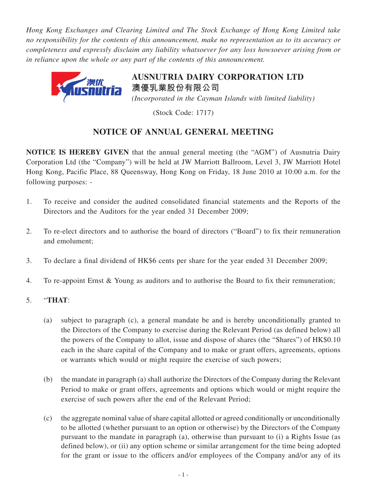*Hong Kong Exchanges and Clearing Limited and The Stock Exchange of Hong Kong Limited take no responsibility for the contents of this announcement, make no representation as to its accuracy or completeness and expressly disclaim any liability whatsoever for any loss howsoever arising from or in reliance upon the whole or any part of the contents of this announcement.*



**AUSNUTRIA DAIRY CORPORATION LTD 澳優乳業股份有限公司** *(Incorporated in the Cayman Islands with limited liability)*

(Stock Code: 1717)

## **NOTICE OF ANNUAL GENERAL MEETING**

**NOTICE IS HEREBY GIVEN** that the annual general meeting (the "AGM") of Ausnutria Dairy Corporation Ltd (the "Company") will be held at JW Marriott Ballroom, Level 3, JW Marriott Hotel Hong Kong, Pacific Place, 88 Queensway, Hong Kong on Friday, 18 June 2010 at 10:00 a.m. for the following purposes: -

- 1. To receive and consider the audited consolidated financial statements and the Reports of the Directors and the Auditors for the year ended 31 December 2009;
- 2. To re-elect directors and to authorise the board of directors ("Board") to fix their remuneration and emolument;
- 3. To declare a final dividend of HK\$6 cents per share for the year ended 31 December 2009;
- 4. To re-appoint Ernst & Young as auditors and to authorise the Board to fix their remuneration;
- 5. "**THAT**:
	- (a) subject to paragraph (c), a general mandate be and is hereby unconditionally granted to the Directors of the Company to exercise during the Relevant Period (as defined below) all the powers of the Company to allot, issue and dispose of shares (the "Shares") of HK\$0.10 each in the share capital of the Company and to make or grant offers, agreements, options or warrants which would or might require the exercise of such powers;
	- (b) the mandate in paragraph (a) shall authorize the Directors of the Company during the Relevant Period to make or grant offers, agreements and options which would or might require the exercise of such powers after the end of the Relevant Period;
	- (c) the aggregate nominal value of share capital allotted or agreed conditionally or unconditionally to be allotted (whether pursuant to an option or otherwise) by the Directors of the Company pursuant to the mandate in paragraph (a), otherwise than pursuant to (i) a Rights Issue (as defined below), or (ii) any option scheme or similar arrangement for the time being adopted for the grant or issue to the officers and/or employees of the Company and/or any of its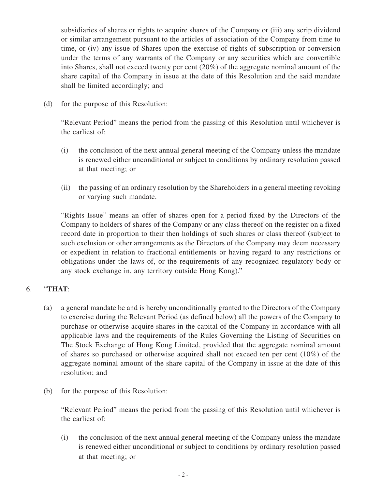subsidiaries of shares or rights to acquire shares of the Company or (iii) any scrip dividend or similar arrangement pursuant to the articles of association of the Company from time to time, or (iv) any issue of Shares upon the exercise of rights of subscription or conversion under the terms of any warrants of the Company or any securities which are convertible into Shares, shall not exceed twenty per cent (20%) of the aggregate nominal amount of the share capital of the Company in issue at the date of this Resolution and the said mandate shall be limited accordingly; and

(d) for the purpose of this Resolution:

"Relevant Period" means the period from the passing of this Resolution until whichever is the earliest of:

- (i) the conclusion of the next annual general meeting of the Company unless the mandate is renewed either unconditional or subject to conditions by ordinary resolution passed at that meeting; or
- (ii) the passing of an ordinary resolution by the Shareholders in a general meeting revoking or varying such mandate.

"Rights Issue" means an offer of shares open for a period fixed by the Directors of the Company to holders of shares of the Company or any class thereof on the register on a fixed record date in proportion to their then holdings of such shares or class thereof (subject to such exclusion or other arrangements as the Directors of the Company may deem necessary or expedient in relation to fractional entitlements or having regard to any restrictions or obligations under the laws of, or the requirements of any recognized regulatory body or any stock exchange in, any territory outside Hong Kong)."

## 6. "**THAT**:

- (a) a general mandate be and is hereby unconditionally granted to the Directors of the Company to exercise during the Relevant Period (as defined below) all the powers of the Company to purchase or otherwise acquire shares in the capital of the Company in accordance with all applicable laws and the requirements of the Rules Governing the Listing of Securities on The Stock Exchange of Hong Kong Limited, provided that the aggregate nominal amount of shares so purchased or otherwise acquired shall not exceed ten per cent (10%) of the aggregate nominal amount of the share capital of the Company in issue at the date of this resolution; and
- (b) for the purpose of this Resolution:

"Relevant Period" means the period from the passing of this Resolution until whichever is the earliest of:

(i) the conclusion of the next annual general meeting of the Company unless the mandate is renewed either unconditional or subject to conditions by ordinary resolution passed at that meeting; or